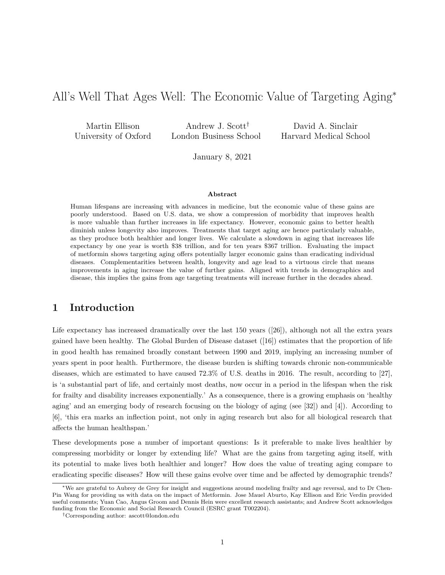## All's Well That Ages Well: The Economic Value of Targeting Aging<sup>∗</sup>

Martin Ellison University of Oxford

Andrew J. Scott† London Business School

David A. Sinclair Harvard Medical School

January 8, 2021

#### Abstract

Human lifespans are increasing with advances in medicine, but the economic value of these gains are poorly understood. Based on U.S. data, we show a compression of morbidity that improves health is more valuable than further increases in life expectancy. However, economic gains to better health diminish unless longevity also improves. Treatments that target aging are hence particularly valuable, as they produce both healthier and longer lives. We calculate a slowdown in aging that increases life expectancy by one year is worth \$38 trillion, and for ten years \$367 trillion. Evaluating the impact of metformin shows targeting aging offers potentially larger economic gains than eradicating individual diseases. Complementarities between health, longevity and age lead to a virtuous circle that means improvements in aging increase the value of further gains. Aligned with trends in demographics and disease, this implies the gains from age targeting treatments will increase further in the decades ahead.

## 1 Introduction

Life expectancy has increased dramatically over the last  $150$  years ([26]), although not all the extra years gained have been healthy. The Global Burden of Disease dataset ([16]) estimates that the proportion of life in good health has remained broadly constant between 1990 and 2019, implying an increasing number of years spent in poor health. Furthermore, the disease burden is shifting towards chronic non-communicable diseases, which are estimated to have caused 72.3% of U.S. deaths in 2016. The result, according to [27], is 'a substantial part of life, and certainly most deaths, now occur in a period in the lifespan when the risk for frailty and disability increases exponentially.' As a consequence, there is a growing emphasis on 'healthy aging' and an emerging body of research focusing on the biology of aging (see [32]) and [4]). According to [6], 'this era marks an inflection point, not only in aging research but also for all biological research that affects the human healthspan.'

These developments pose a number of important questions: Is it preferable to make lives healthier by compressing morbidity or longer by extending life? What are the gains from targeting aging itself, with its potential to make lives both healthier and longer? How does the value of treating aging compare to eradicating specific diseases? How will these gains evolve over time and be affected by demographic trends?

<sup>∗</sup>We are grateful to Aubrey de Grey for insight and suggestions around modeling frailty and age reversal, and to Dr Chen-Pin Wang for providing us with data on the impact of Metformin. Jose Mauel Aburto, Kay Ellison and Eric Verdin provided useful comments; Yuan Cao, Angus Groom and Dennis Hein were excellent research assistants; and Andrew Scott acknowledges funding from the Economic and Social Research Council (ESRC grant T002204).

<sup>†</sup>Corresponding author: ascott@london.edu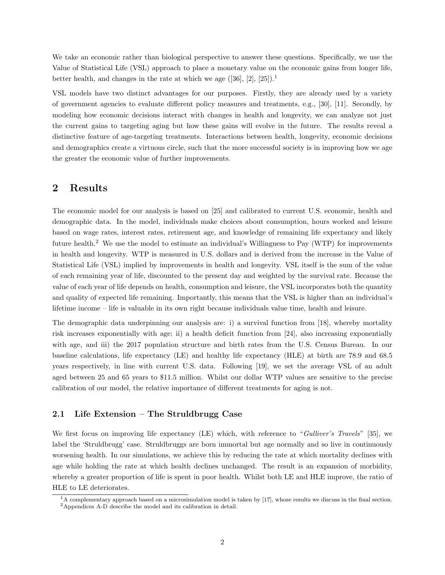We take an economic rather than biological perspective to answer these questions. Specifically, we use the Value of Statistical Life (VSL) approach to place a monetary value on the economic gains from longer life, better health, and changes in the rate at which we age  $([36], [2], [25])$ .<sup>1</sup>

VSL models have two distinct advantages for our purposes. Firstly, they are already used by a variety of government agencies to evaluate different policy measures and treatments, e.g., [30], [11]. Secondly, by modeling how economic decisions interact with changes in health and longevity, we can analyze not just the current gains to targeting aging but how these gains will evolve in the future. The results reveal a distinctive feature of age-targeting treatments. Interactions between health, longevity, economic decisions and demographics create a virtuous circle, such that the more successful society is in improving how we age the greater the economic value of further improvements.

## 2 Results

The economic model for our analysis is based on [25] and calibrated to current U.S. economic, health and demographic data. In the model, individuals make choices about consumption, hours worked and leisure based on wage rates, interest rates, retirement age, and knowledge of remaining life expectancy and likely future health.<sup>2</sup> We use the model to estimate an individual's Willingness to Pay (WTP) for improvements in health and longevity. WTP is measured in U.S. dollars and is derived from the increase in the Value of Statistical Life (VSL) implied by improvements in health and longevity. VSL itself is the sum of the value of each remaining year of life, discounted to the present day and weighted by the survival rate. Because the value of each year of life depends on health, consumption and leisure, the VSL incorporates both the quantity and quality of expected life remaining. Importantly, this means that the VSL is higher than an individual's lifetime income – life is valuable in its own right because individuals value time, health and leisure.

The demographic data underpinning our analysis are: i) a survival function from [18], whereby mortality risk increases exponentially with age; ii) a health deficit function from [24], also increasing exponentially with age, and iii) the 2017 population structure and birth rates from the U.S. Census Bureau. In our baseline calculations, life expectancy (LE) and healthy life expectancy (HLE) at birth are 78.9 and 68.5 years respectively, in line with current U.S. data. Following [19], we set the average VSL of an adult aged between 25 and 65 years to \$11.5 million. Whilst our dollar WTP values are sensitive to the precise calibration of our model, the relative importance of different treatments for aging is not.

#### 2.1 Life Extension – The Struldbrugg Case

We first focus on improving life expectancy (LE) which, with reference to "Gulliver's Travels" [35], we label the 'Struldbrugg' case. Struldbruggs are born immortal but age normally and so live in continuously worsening health. In our simulations, we achieve this by reducing the rate at which mortality declines with age while holding the rate at which health declines unchanged. The result is an expansion of morbidity, whereby a greater proportion of life is spent in poor health. Whilst both LE and HLE improve, the ratio of HLE to LE deteriorates.

<sup>1</sup>A complementary approach based on a microsimulation model is taken by [17], whose results we discuss in the final section. <sup>2</sup>Appendices A-D describe the model and its calibration in detail.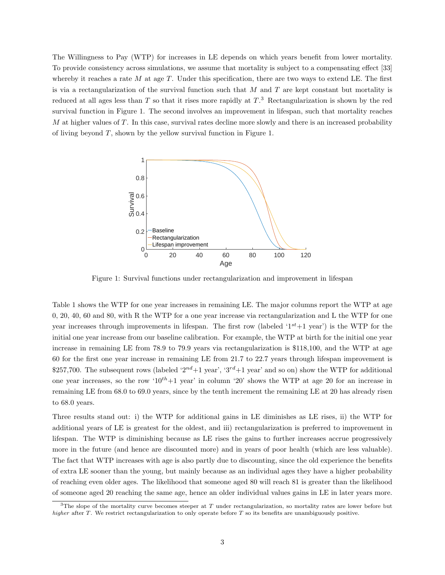The Willingness to Pay (WTP) for increases in LE depends on which years benefit from lower mortality. To provide consistency across simulations, we assume that mortality is subject to a compensating effect [33] whereby it reaches a rate  $M$  at age  $T$ . Under this specification, there are two ways to extend LE. The first is via a rectangularization of the survival function such that  $M$  and  $T$  are kept constant but mortality is reduced at all ages less than T so that it rises more rapidly at  $T<sup>3</sup>$ . Rectangularization is shown by the red survival function in Figure 1. The second involves an improvement in lifespan, such that mortality reaches M at higher values of T. In this case, survival rates decline more slowly and there is an increased probability of living beyond T, shown by the yellow survival function in Figure 1.



Figure 1: Survival functions under rectangularization and improvement in lifespan

Table 1 shows the WTP for one year increases in remaining LE. The major columns report the WTP at age 0, 20, 40, 60 and 80, with R the WTP for a one year increase via rectangularization and L the WTP for one year increases through improvements in lifespan. The first row (labeled ' $1^{st}+1$  year') is the WTP for the initial one year increase from our baseline calibration. For example, the WTP at birth for the initial one year increase in remaining LE from 78.9 to 79.9 years via rectangularization is \$118,100, and the WTP at age 60 for the first one year increase in remaining LE from 21.7 to 22.7 years through lifespan improvement is \$257,700. The subsequent rows (labeled ' $2^{nd}+1$  year', ' $3^{rd}+1$  year' and so on) show the WTP for additional one year increases, so the row  $10^{th}+1$  year' in column '20' shows the WTP at age 20 for an increase in remaining LE from 68.0 to 69.0 years, since by the tenth increment the remaining LE at 20 has already risen to 68.0 years.

Three results stand out: i) the WTP for additional gains in LE diminishes as LE rises, ii) the WTP for additional years of LE is greatest for the oldest, and iii) rectangularization is preferred to improvement in lifespan. The WTP is diminishing because as LE rises the gains to further increases accrue progressively more in the future (and hence are discounted more) and in years of poor health (which are less valuable). The fact that WTP increases with age is also partly due to discounting, since the old experience the benefits of extra LE sooner than the young, but mainly because as an individual ages they have a higher probability of reaching even older ages. The likelihood that someone aged 80 will reach 81 is greater than the likelihood of someone aged 20 reaching the same age, hence an older individual values gains in LE in later years more.

 $3$ The slope of the mortality curve becomes steeper at T under rectangularization, so mortality rates are lower before but higher after T. We restrict rectangularization to only operate before T so its benefits are unambiguously positive.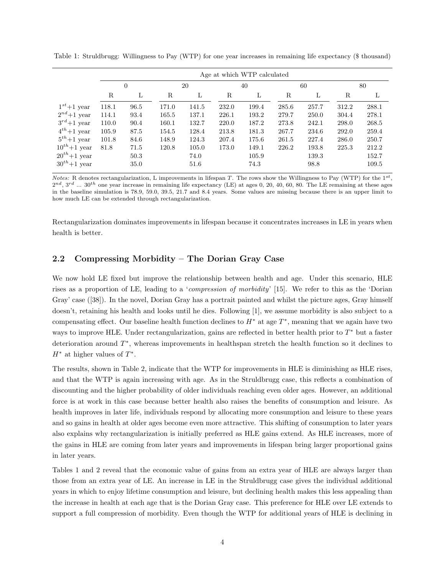|                  | Age at which WTP calculated |      |       |       |       |       |       |       |             |       |
|------------------|-----------------------------|------|-------|-------|-------|-------|-------|-------|-------------|-------|
|                  | $\theta$                    |      |       | 20    |       | 40    |       | 60    |             | 80    |
|                  | R                           | L    | R     | L     | R     | L     | R     | L     | $\mathbf R$ | L     |
| $1^{st}+1$ year  | 118.1                       | 96.5 | 171.0 | 141.5 | 232.0 | 199.4 | 285.6 | 257.7 | 312.2       | 288.1 |
| $2^{nd}+1$ year  | 114.1                       | 93.4 | 165.5 | 137.1 | 226.1 | 193.2 | 279.7 | 250.0 | 304.4       | 278.1 |
| $3^{rd}+1$ year  | 110.0                       | 90.4 | 160.1 | 132.7 | 220.0 | 187.2 | 273.8 | 242.1 | 298.0       | 268.5 |
| $4^{th}+1$ year  | 105.9                       | 87.5 | 154.5 | 128.4 | 213.8 | 181.3 | 267.7 | 234.6 | 292.0       | 259.4 |
| $5^{th}+1$ year  | 101.8                       | 84.6 | 148.9 | 124.3 | 207.4 | 175.6 | 261.5 | 227.4 | 286.0       | 250.7 |
| $10^{th}+1$ year | 81.8                        | 71.5 | 120.8 | 105.0 | 173.0 | 149.1 | 226.2 | 193.8 | 225.3       | 212.2 |
| $20^{th}+1$ year |                             | 50.3 |       | 74.0  |       | 105.9 |       | 139.3 |             | 152.7 |
| $30^{th}+1$ year |                             | 35.0 |       | 51.6  |       | 74.3  |       | 98.8  |             | 109.5 |

Table 1: Struldbrugg: Willingness to Pay (WTP) for one year increases in remaining life expectancy (\$ thousand)

*Notes:* R denotes rectangularization, L improvements in lifespan T. The rows show the Willingness to Pay (WTP) for the  $1^{st}$ ,  $2^{nd}$ ,  $3^{rd}$  ...  $30^{th}$  one year increase in remaining life expectancy (LE) at ages 0, 20, 40, 60, 80. The LE remaining at these ages in the baseline simulation is 78.9, 59.0, 39.5, 21.7 and 8.4 years. Some values are missing because there is an upper limit to how much LE can be extended through rectangularization.

Rectangularization dominates improvements in lifespan because it concentrates increases in LE in years when health is better.

#### 2.2 Compressing Morbidity – The Dorian Gray Case

We now hold LE fixed but improve the relationship between health and age. Under this scenario, HLE rises as a proportion of LE, leading to a 'compression of morbidity' [15]. We refer to this as the 'Dorian Gray' case ([38]). In the novel, Dorian Gray has a portrait painted and whilst the picture ages, Gray himself doesn't, retaining his health and looks until he dies. Following [1], we assume morbidity is also subject to a compensating effect. Our baseline health function declines to  $H^*$  at age  $T^*$ , meaning that we again have two ways to improve HLE. Under rectangularization, gains are reflected in better health prior to  $T^*$  but a faster deterioration around  $T^*$ , whereas improvements in healthspan stretch the health function so it declines to  $H^*$  at higher values of  $T^*$ .

The results, shown in Table 2, indicate that the WTP for improvements in HLE is diminishing as HLE rises, and that the WTP is again increasing with age. As in the Struldbrugg case, this reflects a combination of discounting and the higher probability of older individuals reaching even older ages. However, an additional force is at work in this case because better health also raises the benefits of consumption and leisure. As health improves in later life, individuals respond by allocating more consumption and leisure to these years and so gains in health at older ages become even more attractive. This shifting of consumption to later years also explains why rectangularization is initially preferred as HLE gains extend. As HLE increases, more of the gains in HLE are coming from later years and improvements in lifespan bring larger proportional gains in later years.

Tables 1 and 2 reveal that the economic value of gains from an extra year of HLE are always larger than those from an extra year of LE. An increase in LE in the Struldbrugg case gives the individual additional years in which to enjoy lifetime consumption and leisure, but declining health makes this less appealing than the increase in health at each age that is the Dorian Gray case. This preference for HLE over LE extends to support a full compression of morbidity. Even though the WTP for additional years of HLE is declining in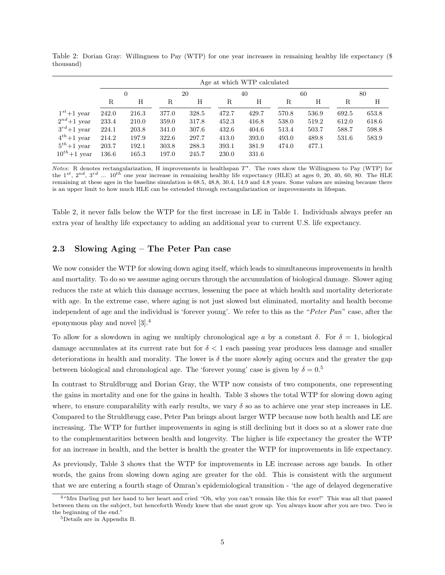|                  |          | Age at which WTP calculated |       |       |       |       |       |       |       |       |
|------------------|----------|-----------------------------|-------|-------|-------|-------|-------|-------|-------|-------|
|                  | $\Omega$ |                             | 20    |       | 40    |       | 60    |       | 80    |       |
|                  | R        | Η                           | R     | Н     | R     | Η     | R     | Η     | R     | Η     |
| $1^{st}+1$ year  | 242.0    | 216.3                       | 377.0 | 328.5 | 472.7 | 429.7 | 570.8 | 536.9 | 692.5 | 653.8 |
| $2^{nd}+1$ year  | 233.4    | 210.0                       | 359.0 | 317.8 | 452.3 | 416.8 | 538.0 | 519.2 | 612.0 | 618.6 |
| $3^{rd}+1$ year  | 224.1    | 203.8                       | 341.0 | 307.6 | 432.6 | 404.6 | 513.4 | 503.7 | 588.7 | 598.8 |
| $4^{th}+1$ year  | 214.2    | 197.9                       | 322.6 | 297.7 | 413.0 | 393.0 | 493.0 | 489.8 | 531.6 | 583.9 |
| $5^{th}+1$ year  | 203.7    | 192.1                       | 303.8 | 288.3 | 393.1 | 381.9 | 474.0 | 477.1 |       |       |
| $10^{th}+1$ year | 136.6    | 165.3                       | 197.0 | 245.7 | 230.0 | 331.6 |       |       |       |       |

Table 2: Dorian Gray: Willingness to Pay (WTP) for one year increases in remaining healthy life expectancy (\$ thousand)

Notes: R denotes rectangularization, H improvements in healthspan  $T^*$ . The rows show the Willingness to Pay (WTP) for the  $1^{st}$ ,  $2^{nd}$ ,  $3^{rd}$  ...  $10^{th}$  one year increase in remaining healthy life expectancy (HLE) at ages 0, 20, 40, 60, 80. The HLE remaining at these ages in the baseline simulation is 68.5, 48.8, 30.4, 14.9 and 4.8 years. Some values are missing because there is an upper limit to how much HLE can be extended through rectangularization or improvements in lifespan.

Table 2, it never falls below the WTP for the first increase in LE in Table 1. Individuals always prefer an extra year of healthy life expectancy to adding an additional year to current U.S. life expectancy.

#### 2.3 Slowing Aging – The Peter Pan case

We now consider the WTP for slowing down aging itself, which leads to simultaneous improvements in health and mortality. To do so we assume aging occurs through the accumulation of biological damage. Slower aging reduces the rate at which this damage accrues, lessening the pace at which health and mortality deteriorate with age. In the extreme case, where aging is not just slowed but eliminated, mortality and health become independent of age and the individual is 'forever young'. We refer to this as the "Peter Pan" case, after the eponymous play and novel [3].<sup>4</sup>

To allow for a slowdown in aging we multiply chronological age a by a constant  $\delta$ . For  $\delta = 1$ , biological damage accumulates at its current rate but for  $\delta < 1$  each passing year produces less damage and smaller deteriorations in health and morality. The lower is  $\delta$  the more slowly aging occurs and the greater the gap between biological and chronological age. The 'forever young' case is given by  $\delta = 0.5$ 

In contrast to Struldbrugg and Dorian Gray, the WTP now consists of two components, one representing the gains in mortality and one for the gains in health. Table 3 shows the total WTP for slowing down aging where, to ensure comparability with early results, we vary  $\delta$  so as to achieve one year step increases in LE. Compared to the Struldbrugg case, Peter Pan brings about larger WTP because now both health and LE are increasing. The WTP for further improvements in aging is still declining but it does so at a slower rate due to the complementarities between health and longevity. The higher is life expectancy the greater the WTP for an increase in health, and the better is health the greater the WTP for improvements in life expectancy.

As previously, Table 3 shows that the WTP for improvements in LE increase across age bands. In other words, the gains from slowing down aging are greater for the old. This is consistent with the argument that we are entering a fourth stage of Omran's epidemiological transition - 'the age of delayed degenerative

<sup>&</sup>lt;sup>4 "</sup>Mrs Darling put her hand to her heart and cried "Oh, why you can't remain like this for ever!" This was all that passed between them on the subject, but henceforth Wendy knew that she must grow up. You always know after you are two. Two is the beginning of the end."

<sup>5</sup>Details are in Appendix B.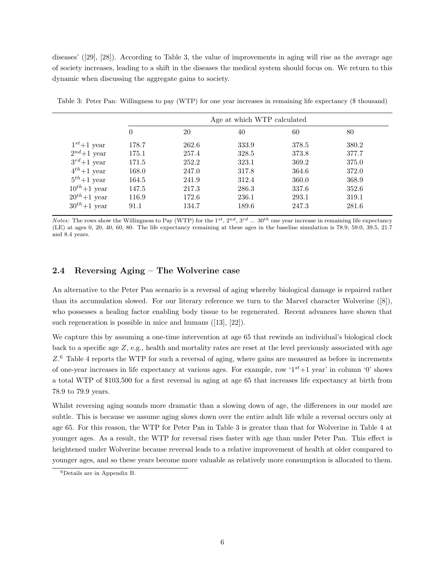diseases' ([29], [28]). According to Table 3, the value of improvements in aging will rise as the average age of society increases, leading to a shift in the diseases the medical system should focus on. We return to this dynamic when discussing the aggregate gains to society.

|                  | Age at which WTP calculated |       |       |       |       |  |  |
|------------------|-----------------------------|-------|-------|-------|-------|--|--|
|                  | 0                           | 20    | 40    | 60    | 80    |  |  |
| $1^{st}+1$ year  | 178.7                       | 262.6 | 333.9 | 378.5 | 380.2 |  |  |
| $2^{nd}+1$ year  | 175.1                       | 257.4 | 328.5 | 373.8 | 377.7 |  |  |
| $3^{rd}+1$ year  | 171.5                       | 252.2 | 323.1 | 369.2 | 375.0 |  |  |
| $4^{th}+1$ year  | 168.0                       | 247.0 | 317.8 | 364.6 | 372.0 |  |  |
| $5^{th}+1$ year  | 164.5                       | 241.9 | 312.4 | 360.0 | 368.9 |  |  |
| $10^{th}+1$ year | 147.5                       | 217.3 | 286.3 | 337.6 | 352.6 |  |  |
| $20^{th}+1$ year | 116.9                       | 172.6 | 236.1 | 293.1 | 319.1 |  |  |
| $30^{th}+1$ year | 91.1                        | 134.7 | 189.6 | 247.3 | 281.6 |  |  |

Table 3: Peter Pan: Willingness to pay (WTP) for one year increases in remaining life expectancy (\$ thousand)

*Notes:* The rows show the Willingness to Pay (WTP) for the  $1^{st}$ ,  $2^{nd}$ ,  $3^{rd}$  ...  $30^{th}$  one year increase in remaining life expectancy (LE) at ages 0, 20, 40, 60, 80. The life expectancy remaining at these ages in the baseline simulation is 78.9, 59.0, 39.5, 21.7 and 8.4 years.

#### 2.4 Reversing Aging – The Wolverine case

An alternative to the Peter Pan scenario is a reversal of aging whereby biological damage is repaired rather than its accumulation slowed. For our literary reference we turn to the Marvel character Wolverine ([8]), who possesses a healing factor enabling body tissue to be regenerated. Recent advances have shown that such regeneration is possible in mice and humans  $(13, 22)$ .

We capture this by assuming a one-time intervention at age 65 that rewinds an individual's biological clock back to a specific age  $Z$ , e.g., health and mortality rates are reset at the level previously associated with age Z.<sup>6</sup> Table 4 reports the WTP for such a reversal of aging, where gains are measured as before in increments of one-year increases in life expectancy at various ages. For example, row ' $1^{st}+1$  year' in column '0' shows a total WTP of \$103,500 for a first reversal in aging at age 65 that increases life expectancy at birth from 78.9 to 79.9 years.

Whilst reversing aging sounds more dramatic than a slowing down of age, the differences in our model are subtle. This is because we assume aging slows down over the entire adult life while a reversal occurs only at age 65. For this reason, the WTP for Peter Pan in Table 3 is greater than that for Wolverine in Table 4 at younger ages. As a result, the WTP for reversal rises faster with age than under Peter Pan. This effect is heightened under Wolverine because reversal leads to a relative improvement of health at older compared to younger ages, and so these years become more valuable as relatively more consumption is allocated to them.

<sup>6</sup>Details are in Appendix B.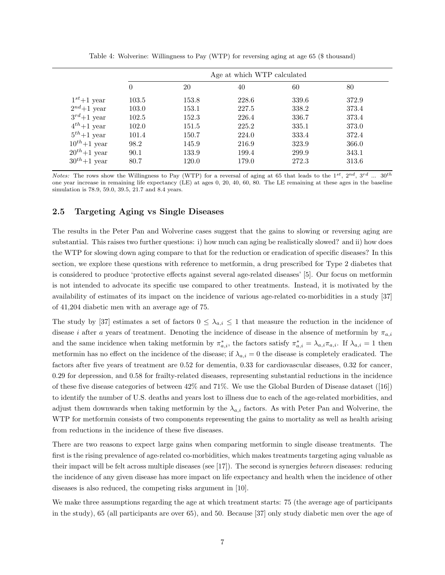|                  | Age at which WTP calculated |       |       |       |       |  |  |
|------------------|-----------------------------|-------|-------|-------|-------|--|--|
|                  | 0                           | 20    | 40    | 60    | 80    |  |  |
| $1^{st}+1$ year  | 103.5                       | 153.8 | 228.6 | 339.6 | 372.9 |  |  |
| $2^{nd}+1$ year  | 103.0                       | 153.1 | 227.5 | 338.2 | 373.4 |  |  |
| $3^{rd}+1$ year  | 102.5                       | 152.3 | 226.4 | 336.7 | 373.4 |  |  |
| $4^{th}+1$ year  | 102.0                       | 151.5 | 225.2 | 335.1 | 373.0 |  |  |
| $5^{th}+1$ year  | 101.4                       | 150.7 | 224.0 | 333.4 | 372.4 |  |  |
| $10^{th}+1$ year | 98.2                        | 145.9 | 216.9 | 323.9 | 366.0 |  |  |
| $20^{th}+1$ year | 90.1                        | 133.9 | 199.4 | 299.9 | 343.1 |  |  |
| $30^{th}+1$ year | 80.7                        | 120.0 | 179.0 | 272.3 | 313.6 |  |  |

Table 4: Wolverine: Willingness to Pay (WTP) for reversing aging at age 65 (\$ thousand)

Notes: The rows show the Willingness to Pay (WTP) for a reversal of aging at 65 that leads to the  $1^{st}$ ,  $2^{nd}$ ,  $3^{rd}$  ...  $30^{th}$ one year increase in remaining life expectancy (LE) at ages 0, 20, 40, 60, 80. The LE remaining at these ages in the baseline simulation is 78.9, 59.0, 39.5, 21.7 and 8.4 years.

#### 2.5 Targeting Aging vs Single Diseases

The results in the Peter Pan and Wolverine cases suggest that the gains to slowing or reversing aging are substantial. This raises two further questions: i) how much can aging be realistically slowed? and ii) how does the WTP for slowing down aging compare to that for the reduction or eradication of specific diseases? In this section, we explore these questions with reference to metformin, a drug prescribed for Type 2 diabetes that is considered to produce 'protective effects against several age-related diseases' [5]. Our focus on metformin is not intended to advocate its specific use compared to other treatments. Instead, it is motivated by the availability of estimates of its impact on the incidence of various age-related co-morbidities in a study [37] of 41,204 diabetic men with an average age of 75.

The study by [37] estimates a set of factors  $0 \leq \lambda_{a,i} \leq 1$  that measure the reduction in the incidence of disease i after a years of treatment. Denoting the incidence of disease in the absence of metformin by  $\pi_{a,i}$ and the same incidence when taking metformin by  $\pi_{a,i}^*$ , the factors satisfy  $\pi_{a,i}^* = \lambda_{a,i} \pi_{a,i}$ . If  $\lambda_{a,i} = 1$  then metformin has no effect on the incidence of the disease; if  $\lambda_{a,i} = 0$  the disease is completely eradicated. The factors after five years of treatment are 0.52 for dementia, 0.33 for cardiovascular diseases, 0.32 for cancer, 0.29 for depression, and 0.58 for frailty-related diseases, representing substantial reductions in the incidence of these five disease categories of between 42% and 71%. We use the Global Burden of Disease dataset ([16]) to identify the number of U.S. deaths and years lost to illness due to each of the age-related morbidities, and adjust them downwards when taking metformin by the  $\lambda_{a,i}$  factors. As with Peter Pan and Wolverine, the WTP for metformin consists of two components representing the gains to mortality as well as health arising from reductions in the incidence of these five diseases.

There are two reasons to expect large gains when comparing metformin to single disease treatments. The first is the rising prevalence of age-related co-morbidities, which makes treatments targeting aging valuable as their impact will be felt across multiple diseases (see [17]). The second is synergies between diseases: reducing the incidence of any given disease has more impact on life expectancy and health when the incidence of other diseases is also reduced, the competing risks argument in [10].

We make three assumptions regarding the age at which treatment starts: 75 (the average age of participants in the study), 65 (all participants are over 65), and 50. Because [37] only study diabetic men over the age of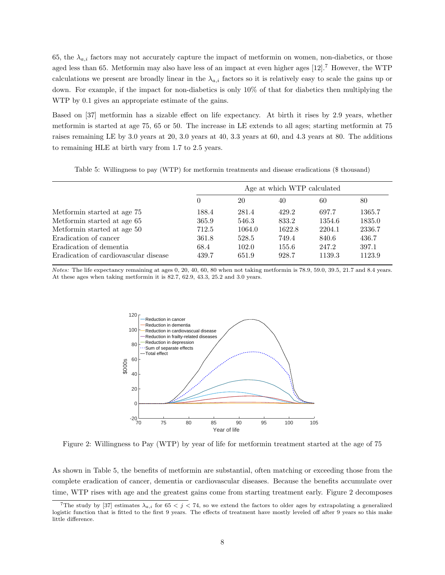65, the  $\lambda_{a,i}$  factors may not accurately capture the impact of metformin on women, non-diabetics, or those aged less than 65. Metformin may also have less of an impact at even higher ages [12].<sup>7</sup> However, the WTP calculations we present are broadly linear in the  $\lambda_{a,i}$  factors so it is relatively easy to scale the gains up or down. For example, if the impact for non-diabetics is only 10% of that for diabetics then multiplying the WTP by 0.1 gives an appropriate estimate of the gains.

Based on [37] metformin has a sizable effect on life expectancy. At birth it rises by 2.9 years, whether metformin is started at age 75, 65 or 50. The increase in LE extends to all ages; starting metformin at 75 raises remaining LE by 3.0 years at 20, 3.0 years at 40, 3.3 years at 60, and 4.3 years at 80. The additions to remaining HLE at birth vary from 1.7 to 2.5 years.

Table 5: Willingness to pay (WTP) for metformin treatments and disease eradications (\$ thousand)

|                                       | Age at which WTP calculated |        |        |        |        |  |
|---------------------------------------|-----------------------------|--------|--------|--------|--------|--|
|                                       | $\theta$                    | 20     | 40     | 60     | 80     |  |
| Metformin started at age 75           | 188.4                       | 281.4  | 429.2  | 697.7  | 1365.7 |  |
| Metformin started at age 65           | 365.9                       | 546.3  | 833.2  | 1354.6 | 1835.0 |  |
| Metformin started at age 50           | 712.5                       | 1064.0 | 1622.8 | 2204.1 | 2336.7 |  |
| Eradication of cancer                 | 361.8                       | 528.5  | 749.4  | 840.6  | 436.7  |  |
| Eradication of dementia               | 68.4                        | 102.0  | 155.6  | 247.2  | 397.1  |  |
| Eradication of cardiovascular disease | 439.7                       | 651.9  | 928.7  | 1139.3 | 1123.9 |  |

Notes: The life expectancy remaining at ages 0, 20, 40, 60, 80 when not taking metformin is 78.9, 59.0, 39.5, 21.7 and 8.4 years. At these ages when taking metformin it is 82.7, 62.9, 43.3, 25.2 and 3.0 years.



Figure 2: Willingness to Pay (WTP) by year of life for metformin treatment started at the age of 75

As shown in Table 5, the benefits of metformin are substantial, often matching or exceeding those from the complete eradication of cancer, dementia or cardiovascular diseases. Because the benefits accumulate over time, WTP rises with age and the greatest gains come from starting treatment early. Figure 2 decomposes

<sup>&</sup>lt;sup>7</sup>The study by [37] estimates  $\lambda_{a,i}$  for 65 < j < 74, so we extend the factors to older ages by extrapolating a generalized logistic function that is fitted to the first 9 years. The effects of treatment have mostly leveled off after 9 years so this make little difference.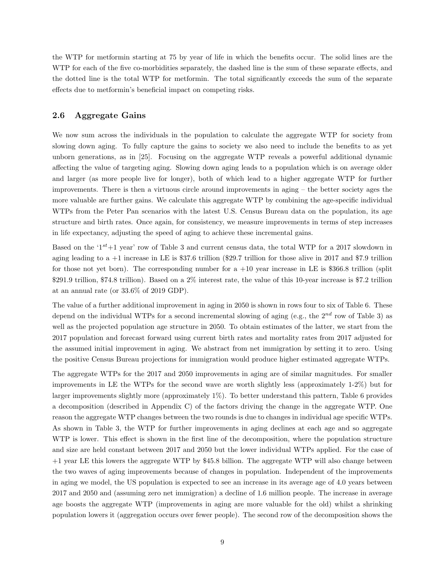the WTP for metformin starting at 75 by year of life in which the benefits occur. The solid lines are the WTP for each of the five co-morbidities separately, the dashed line is the sum of these separate effects, and the dotted line is the total WTP for metformin. The total significantly exceeds the sum of the separate effects due to metformin's beneficial impact on competing risks.

#### 2.6 Aggregate Gains

We now sum across the individuals in the population to calculate the aggregate WTP for society from slowing down aging. To fully capture the gains to society we also need to include the benefits to as yet unborn generations, as in [25]. Focusing on the aggregate WTP reveals a powerful additional dynamic affecting the value of targeting aging. Slowing down aging leads to a population which is on average older and larger (as more people live for longer), both of which lead to a higher aggregate WTP for further improvements. There is then a virtuous circle around improvements in aging – the better society ages the more valuable are further gains. We calculate this aggregate WTP by combining the age-specific individual WTPs from the Peter Pan scenarios with the latest U.S. Census Bureau data on the population, its age structure and birth rates. Once again, for consistency, we measure improvements in terms of step increases in life expectancy, adjusting the speed of aging to achieve these incremental gains.

Based on the ' $1^{st}+1$  year' row of Table 3 and current census data, the total WTP for a 2017 slowdown in aging leading to a  $+1$  increase in LE is \$37.6 trillion (\$29.7 trillion for those alive in 2017 and \$7.9 trillion for those not yet born). The corresponding number for  $a +10$  year increase in LE is \$366.8 trillion (split \$291.9 trillion, \$74.8 trillion). Based on a 2% interest rate, the value of this 10-year increase is \$7.2 trillion at an annual rate (or 33.6% of 2019 GDP).

The value of a further additional improvement in aging in 2050 is shown in rows four to six of Table 6. These depend on the individual WTPs for a second incremental slowing of aging (e.g., the  $2^{nd}$  row of Table 3) as well as the projected population age structure in 2050. To obtain estimates of the latter, we start from the 2017 population and forecast forward using current birth rates and mortality rates from 2017 adjusted for the assumed initial improvement in aging. We abstract from net immigration by setting it to zero. Using the positive Census Bureau projections for immigration would produce higher estimated aggregate WTPs.

The aggregate WTPs for the 2017 and 2050 improvements in aging are of similar magnitudes. For smaller improvements in LE the WTPs for the second wave are worth slightly less (approximately 1-2%) but for larger improvements slightly more (approximately 1%). To better understand this pattern, Table 6 provides a decomposition (described in Appendix C) of the factors driving the change in the aggregate WTP. One reason the aggregate WTP changes between the two rounds is due to changes in individual age specific WTPs. As shown in Table 3, the WTP for further improvements in aging declines at each age and so aggregate WTP is lower. This effect is shown in the first line of the decomposition, where the population structure and size are held constant between 2017 and 2050 but the lower individual WTPs applied. For the case of +1 year LE this lowers the aggregate WTP by \$45.8 billion. The aggregate WTP will also change between the two waves of aging improvements because of changes in population. Independent of the improvements in aging we model, the US population is expected to see an increase in its average age of 4.0 years between 2017 and 2050 and (assuming zero net immigration) a decline of 1.6 million people. The increase in average age boosts the aggregate WTP (improvements in aging are more valuable for the old) whilst a shrinking population lowers it (aggregation occurs over fewer people). The second row of the decomposition shows the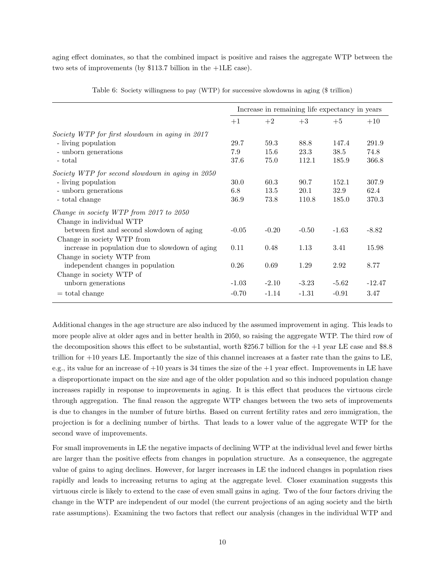aging effect dominates, so that the combined impact is positive and raises the aggregate WTP between the two sets of improvements (by \$113.7 billion in the +1LE case).

|                                                                     | Increase in remaining life expectancy in years |         |         |         |          |
|---------------------------------------------------------------------|------------------------------------------------|---------|---------|---------|----------|
|                                                                     | $+1$                                           | $+2$    | $+3$    | $+5$    | $+10$    |
| Society WTP for first slowdown in aging in 2017                     |                                                |         |         |         |          |
| - living population                                                 | 29.7                                           | 59.3    | 88.8    | 147.4   | 291.9    |
| - unborn generations                                                | 7.9                                            | 15.6    | 23.3    | 38.5    | 74.8     |
| - total                                                             | 37.6                                           | 75.0    | 112.1   | 185.9   | 366.8    |
| Society WTP for second slowdown in aging in 2050                    |                                                |         |         |         |          |
| - living population                                                 | 30.0                                           | 60.3    | 90.7    | 152.1   | 307.9    |
| - unborn generations                                                | 6.8                                            | 13.5    | 20.1    | 32.9    | 62.4     |
| - total change                                                      | 36.9                                           | 73.8    | 110.8   | 185.0   | 370.3    |
| Change in society WTP from 2017 to 2050<br>Change in individual WTP |                                                |         |         |         |          |
| between first and second slowdown of aging                          | $-0.05$                                        | $-0.20$ | $-0.50$ | $-1.63$ | $-8.82$  |
| Change in society WTP from                                          |                                                |         |         |         |          |
| increase in population due to slowdown of aging                     | 0.11                                           | 0.48    | 1.13    | 3.41    | 15.98    |
| Change in society WTP from                                          |                                                |         |         |         |          |
| independent changes in population                                   | 0.26                                           | 0.69    | 1.29    | 2.92    | 8.77     |
| Change in society WTP of                                            |                                                |         |         |         |          |
| unborn generations                                                  | $-1.03$                                        | $-2.10$ | $-3.23$ | $-5.62$ | $-12.47$ |
| $=$ total change                                                    | $-0.70$                                        | $-1.14$ | $-1.31$ | $-0.91$ | 3.47     |

Table 6: Society willingness to pay (WTP) for successive slowdowns in aging (\$ trillion)

Additional changes in the age structure are also induced by the assumed improvement in aging. This leads to more people alive at older ages and in better health in 2050, so raising the aggregate WTP. The third row of the decomposition shows this effect to be substantial, worth \$256.7 billion for the +1 year LE case and \$8.8 trillion for +10 years LE. Importantly the size of this channel increases at a faster rate than the gains to LE, e.g., its value for an increase of  $+10$  years is 34 times the size of the  $+1$  year effect. Improvements in LE have a disproportionate impact on the size and age of the older population and so this induced population change increases rapidly in response to improvements in aging. It is this effect that produces the virtuous circle through aggregation. The final reason the aggregate WTP changes between the two sets of improvements is due to changes in the number of future births. Based on current fertility rates and zero immigration, the projection is for a declining number of births. That leads to a lower value of the aggregate WTP for the second wave of improvements.

For small improvements in LE the negative impacts of declining WTP at the individual level and fewer births are larger than the positive effects from changes in population structure. As a consequence, the aggregate value of gains to aging declines. However, for larger increases in LE the induced changes in population rises rapidly and leads to increasing returns to aging at the aggregate level. Closer examination suggests this virtuous circle is likely to extend to the case of even small gains in aging. Two of the four factors driving the change in the WTP are independent of our model (the current projections of an aging society and the birth rate assumptions). Examining the two factors that reflect our analysis (changes in the individual WTP and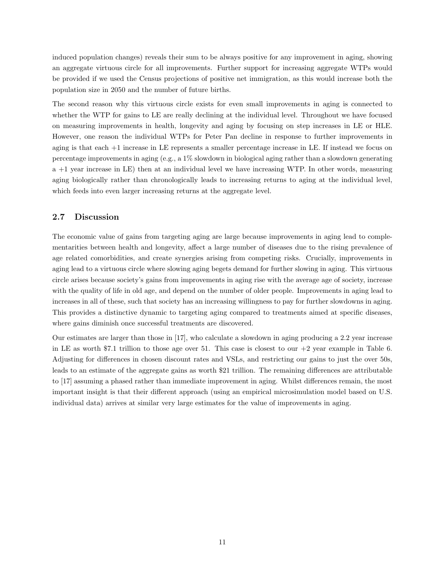induced population changes) reveals their sum to be always positive for any improvement in aging, showing an aggregate virtuous circle for all improvements. Further support for increasing aggregate WTPs would be provided if we used the Census projections of positive net immigration, as this would increase both the population size in 2050 and the number of future births.

The second reason why this virtuous circle exists for even small improvements in aging is connected to whether the WTP for gains to LE are really declining at the individual level. Throughout we have focused on measuring improvements in health, longevity and aging by focusing on step increases in LE or HLE. However, one reason the individual WTPs for Peter Pan decline in response to further improvements in aging is that each +1 increase in LE represents a smaller percentage increase in LE. If instead we focus on percentage improvements in aging (e.g., a 1% slowdown in biological aging rather than a slowdown generating a +1 year increase in LE) then at an individual level we have increasing WTP. In other words, measuring aging biologically rather than chronologically leads to increasing returns to aging at the individual level, which feeds into even larger increasing returns at the aggregate level.

#### 2.7 Discussion

The economic value of gains from targeting aging are large because improvements in aging lead to complementarities between health and longevity, affect a large number of diseases due to the rising prevalence of age related comorbidities, and create synergies arising from competing risks. Crucially, improvements in aging lead to a virtuous circle where slowing aging begets demand for further slowing in aging. This virtuous circle arises because society's gains from improvements in aging rise with the average age of society, increase with the quality of life in old age, and depend on the number of older people. Improvements in aging lead to increases in all of these, such that society has an increasing willingness to pay for further slowdowns in aging. This provides a distinctive dynamic to targeting aging compared to treatments aimed at specific diseases, where gains diminish once successful treatments are discovered.

Our estimates are larger than those in [17], who calculate a slowdown in aging producing a 2.2 year increase in LE as worth \$7.1 trillion to those age over 51. This case is closest to our  $+2$  year example in Table 6. Adjusting for differences in chosen discount rates and VSLs, and restricting our gains to just the over 50s, leads to an estimate of the aggregate gains as worth \$21 trillion. The remaining differences are attributable to [17] assuming a phased rather than immediate improvement in aging. Whilst differences remain, the most important insight is that their different approach (using an empirical microsimulation model based on U.S. individual data) arrives at similar very large estimates for the value of improvements in aging.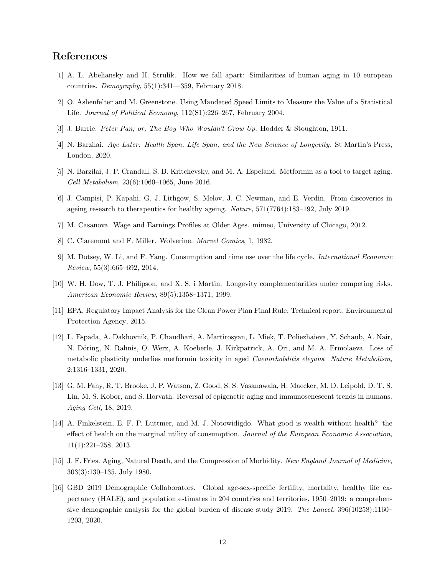## References

- [1] A. L. Abeliansky and H. Strulik. How we fall apart: Similarities of human aging in 10 european countries.  $Demography$ ,  $55(1):341-359$ , February 2018.
- [2] O. Ashenfelter and M. Greenstone. Using Mandated Speed Limits to Measure the Value of a Statistical Life. Journal of Political Economy, 112(S1):226–267, February 2004.
- [3] J. Barrie. Peter Pan; or, The Boy Who Wouldn't Grow Up. Hodder & Stoughton, 1911.
- [4] N. Barzilai. Age Later: Health Span, Life Span, and the New Science of Longevity. St Martin's Press, London, 2020.
- [5] N. Barzilai, J. P. Crandall, S. B. Kritchevsky, and M. A. Espeland. Metformin as a tool to target aging. Cell Metabolism, 23(6):1060–1065, June 2016.
- [6] J. Campisi, P. Kapahi, G. J. Lithgow, S. Melov, J. C. Newman, and E. Verdin. From discoveries in ageing research to therapeutics for healthy ageing. Nature, 571(7764):183–192, July 2019.
- [7] M. Casanova. Wage and Earnings Profiles at Older Ages. mimeo, University of Chicago, 2012.
- [8] C. Claremont and F. Miller. Wolverine. Marvel Comics, 1, 1982.
- [9] M. Dotsey, W. Li, and F. Yang. Consumption and time use over the life cycle. International Economic Review, 55(3):665–692, 2014.
- [10] W. H. Dow, T. J. Philipson, and X. S. i Martin. Longevity complementarities under competing risks. American Economic Review, 89(5):1358–1371, 1999.
- [11] EPA. Regulatory Impact Analysis for the Clean Power Plan Final Rule. Technical report, Environmental Protection Agency, 2015.
- [12] L. Espada, A. Dakhovnik, P. Chaudhari, A. Martirosyan, L. Miek, T. Poliezhaieva, Y. Schaub, A. Nair, N. Döring, N. Rahnis, O. Werz, A. Koeberle, J. Kirkpatrick, A. Ori, and M. A. Ermolaeva. Loss of metabolic plasticity underlies metformin toxicity in aged Caenorhabditis elegans. Nature Metabolism, 2:1316–1331, 2020.
- [13] G. M. Fahy, R. T. Brooke, J. P. Watson, Z. Good, S. S. Vasanawala, H. Maecker, M. D. Leipold, D. T. S. Lin, M. S. Kobor, and S. Horvath. Reversal of epigenetic aging and immunosenescent trends in humans. Aging Cell, 18, 2019.
- [14] A. Finkelstein, E. F. P. Luttmer, and M. J. Notowidigdo. What good is wealth without health? the effect of health on the marginal utility of consumption. Journal of the European Economic Association, 11(1):221–258, 2013.
- [15] J. F. Fries. Aging, Natural Death, and the Compression of Morbidity. New England Journal of Medicine, 303(3):130–135, July 1980.
- [16] GBD 2019 Demographic Collaborators. Global age-sex-specific fertility, mortality, healthy life expectancy (HALE), and population estimates in 204 countries and territories, 1950–2019: a comprehensive demographic analysis for the global burden of disease study 2019. The Lancet, 396(10258):1160– 1203, 2020.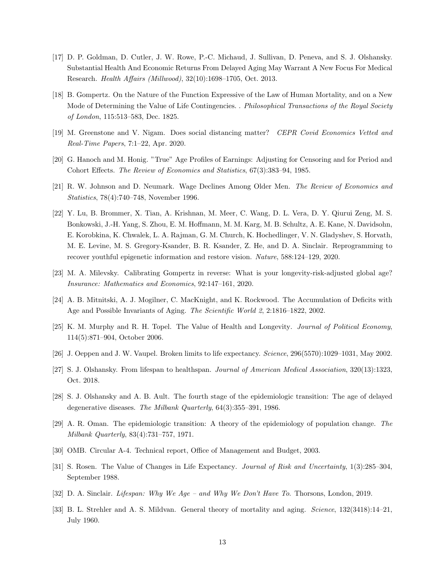- [17] D. P. Goldman, D. Cutler, J. W. Rowe, P.-C. Michaud, J. Sullivan, D. Peneva, and S. J. Olshansky. Substantial Health And Economic Returns From Delayed Aging May Warrant A New Focus For Medical Research. Health Affairs (Millwood), 32(10):1698–1705, Oct. 2013.
- [18] B. Gompertz. On the Nature of the Function Expressive of the Law of Human Mortality, and on a New Mode of Determining the Value of Life Contingencies. . Philosophical Transactions of the Royal Society of London, 115:513–583, Dec. 1825.
- [19] M. Greenstone and V. Nigam. Does social distancing matter? CEPR Covid Economics Vetted and Real-Time Papers, 7:1–22, Apr. 2020.
- [20] G. Hanoch and M. Honig. "True" Age Profiles of Earnings: Adjusting for Censoring and for Period and Cohort Effects. The Review of Economics and Statistics, 67(3):383–94, 1985.
- [21] R. W. Johnson and D. Neumark. Wage Declines Among Older Men. The Review of Economics and Statistics, 78(4):740–748, November 1996.
- [22] Y. Lu, B. Brommer, X. Tian, A. Krishnan, M. Meer, C. Wang, D. L. Vera, D. Y. Qiurui Zeng, M. S. Bonkowski, J.-H. Yang, S. Zhou, E. M. Hoffmann, M. M. Karg, M. B. Schultz, A. E. Kane, N. Davidsohn, E. Korobkina, K. Chwalek, L. A. Rajman, G. M. Church, K. Hochedlinger, V. N. Gladyshev, S. Horvath, M. E. Levine, M. S. Gregory-Ksander, B. R. Ksander, Z. He, and D. A. Sinclair. Reprogramming to recover youthful epigenetic information and restore vision. Nature, 588:124–129, 2020.
- [23] M. A. Milevsky. Calibrating Gompertz in reverse: What is your longevity-risk-adjusted global age? Insurance: Mathematics and Economics, 92:147–161, 2020.
- [24] A. B. Mitnitski, A. J. Mogilner, C. MacKnight, and K. Rockwood. The Accumulation of Deficits with Age and Possible Invariants of Aging. The Scientific World 2, 2:1816–1822, 2002.
- [25] K. M. Murphy and R. H. Topel. The Value of Health and Longevity. Journal of Political Economy, 114(5):871–904, October 2006.
- [26] J. Oeppen and J. W. Vaupel. Broken limits to life expectancy. Science, 296(5570):1029–1031, May 2002.
- [27] S. J. Olshansky. From lifespan to healthspan. Journal of American Medical Association, 320(13):1323, Oct. 2018.
- [28] S. J. Olshansky and A. B. Ault. The fourth stage of the epidemiologic transition: The age of delayed degenerative diseases. The Milbank Quarterly, 64(3):355–391, 1986.
- [29] A. R. Oman. The epidemiologic transition: A theory of the epidemiology of population change. The Milbank Quarterly, 83(4):731–757, 1971.
- [30] OMB. Circular A-4. Technical report, Office of Management and Budget, 2003.
- [31] S. Rosen. The Value of Changes in Life Expectancy. Journal of Risk and Uncertainty, 1(3):285–304, September 1988.
- [32] D. A. Sinclair. Lifespan: Why We Age and Why We Don't Have To. Thorsons, London, 2019.
- [33] B. L. Strehler and A. S. Mildvan. General theory of mortality and aging. Science, 132(3418):14–21, July 1960.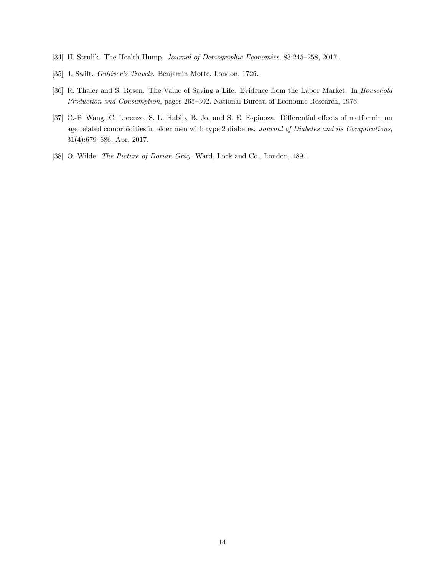- [34] H. Strulik. The Health Hump. Journal of Demographic Economics, 83:245–258, 2017.
- [35] J. Swift. Gulliver's Travels. Benjamin Motte, London, 1726.
- [36] R. Thaler and S. Rosen. The Value of Saving a Life: Evidence from the Labor Market. In Household Production and Consumption, pages 265–302. National Bureau of Economic Research, 1976.
- [37] C.-P. Wang, C. Lorenzo, S. L. Habib, B. Jo, and S. E. Espinoza. Differential effects of metformin on age related comorbidities in older men with type 2 diabetes. Journal of Diabetes and its Complications, 31(4):679–686, Apr. 2017.
- [38] O. Wilde. The Picture of Dorian Gray. Ward, Lock and Co., London, 1891.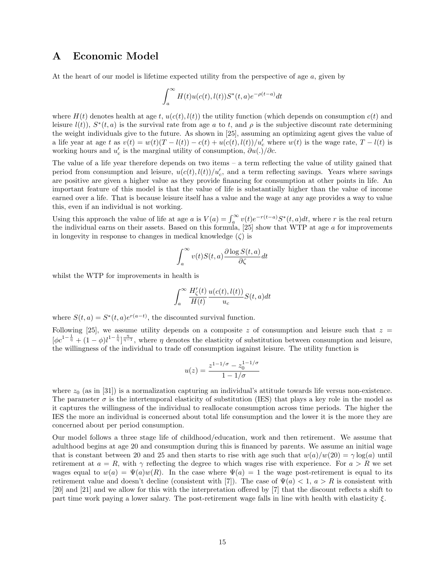### A Economic Model

At the heart of our model is lifetime expected utility from the perspective of age  $a$ , given by

$$
\int_a^{\infty} H(t)u(c(t),l(t))S^*(t,a)e^{-\rho(t-a)}dt
$$

where  $H(t)$  denotes health at age t,  $u(c(t), l(t))$  the utility function (which depends on consumption  $c(t)$  and leisure  $l(t)$ ),  $S^*(t, a)$  is the survival rate from age a to t, and  $\rho$  is the subjective discount rate determining the weight individuals give to the future. As shown in [25], assuming an optimizing agent gives the value of a life year at age t as  $v(t) = w(t)(T - l(t)) - c(t) + u(c(t), l(t))/u_c'$  where  $w(t)$  is the wage rate,  $T - l(t)$  is working hours and  $u'_c$  is the marginal utility of consumption,  $\partial u(.)/\partial c$ .

The value of a life year therefore depends on two items – a term reflecting the value of utility gained that period from consumption and leisure,  $u(c(t), l(t))/u_c'$ , and a term reflecting savings. Years where savings are positive are given a higher value as they provide financing for consumption at other points in life. An important feature of this model is that the value of life is substantially higher than the value of income earned over a life. That is because leisure itself has a value and the wage at any age provides a way to value this, even if an individual is not working.

Using this approach the value of life at age a is  $V(a) = \int_a^{\infty} v(t)e^{-r(t-a)}S^*(t, a)dt$ , where r is the real return the individual earns on their assets. Based on this formula,  $[25]$  show that WTP at age a for improvements in longevity in response to changes in medical knowledge  $(\zeta)$  is

$$
\int_{a}^{\infty} v(t)S(t,a)\frac{\partial \log S(t,a)}{\partial \zeta}dt
$$

whilst the WTP for improvements in health is

$$
\int_{a}^{\infty} \frac{H'_{\zeta}(t)}{H(t)} \frac{u(c(t), l(t))}{u_c} S(t, a) dt
$$

where  $S(t, a) = S^*(t, a)e^{r(a-t)}$ , the discounted survival function.

Following [25], we assume utility depends on a composite z of consumption and leisure such that  $z =$  $[\phi c^{1-\frac{1}{\eta}}+(1-\phi)l^{1-\frac{1}{\eta}}]_{\eta=1}^{\frac{\eta}{\eta-1}}$ , where  $\eta$  denotes the elasticity of substitution between consumption and leisure, the willingness of the individual to trade off consumption iagainst leisure. The utility function is

$$
u(z) = \frac{z^{1-1/\sigma} - z_0^{1-1/\sigma}}{1 - 1/\sigma}
$$

where  $z_0$  (as in [31]) is a normalization capturing an individual's attitude towards life versus non-existence. The parameter  $\sigma$  is the intertemporal elasticity of substitution (IES) that plays a key role in the model as it captures the willingness of the individual to reallocate consumption across time periods. The higher the IES the more an individual is concerned about total life consumption and the lower it is the more they are concerned about per period consumption.

Our model follows a three stage life of childhood/education, work and then retirement. We assume that adulthood begins at age 20 and consumption during this is financed by parents. We assume an initial wage that is constant between 20 and 25 and then starts to rise with age such that  $w(a)/w(20) = \gamma \log(a)$  until retirement at  $a = R$ , with  $\gamma$  reflecting the degree to which wages rise with experience. For  $a > R$  we set wages equal to  $w(a) = \Psi(a)w(R)$ . In the case where  $\Psi(a) = 1$  the wage post-retirement is equal to its retirement value and doesn't decline (consistent with [7]). The case of  $\Psi(a) < 1, a > R$  is consistent with [20] and [21] and we allow for this with the interpretation offered by [7] that the discount reflects a shift to part time work paying a lower salary. The post-retirement wage falls in line with health with elasticity  $\xi$ .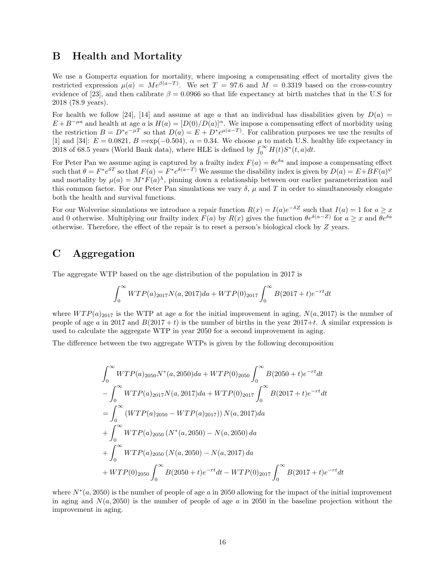## B Health and Mortality

We use a Gompertz equation for mortality, where imposing a compensating effect of mortality gives the restricted expression  $\mu(a) = Me^{\beta(a-T)}$ . We set  $T = 97.6$  and  $M = 0.3319$  based on the cross-country evidence of [23], and then calibrate  $\beta = 0.0966$  so that life expectancy at birth matches that in the U.S for 2018 (78.9 years).

For health we follow [24], [14] and assume at age a that an individual has disabilities given by  $D(a)$  =  $E + B^{-\mu a}$  and health at age a is  $H(a) = [D(0)/D(a)]^{\alpha}$ . We impose a compensating effect of morbidity using the restriction  $B = D^* e^{-\mu T}$  so that  $D(a) = E + D^* e^{\mu(a-T)}$ . For calibration purposes we use the results of [1] and [34]:  $E = 0.0821$ ,  $B = \exp(-0.504)$ ,  $\alpha = 0.34$ . We choose  $\mu$  to match U.S. healthy life expectancy in 2018 of 68.5 years (World Bank data), where HLE is defined by  $\int_0^\infty H(t)S^*(t, a)dt$ .

For Peter Pan we assume aging is captured by a frailty index  $F(a) = \theta e^{\delta a}$  and impose a compensating effect such that  $\theta = F^* e^{\delta T}$  so that  $F(a) = F^* e^{\delta(a-T)}$  We assume the disability index is given by  $D(a) = E + BF(a)^{\psi}$ and mortality by  $\mu(a) = M^*F(a)^{\lambda}$ , pinning down a relationship between our earlier parameterization and this common factor. For our Peter Pan simulations we vary  $\delta$ ,  $\mu$  and T in order to simultaneously elongate both the health and survival functions.

For our Wolverine simulations we introduce a repair function  $R(x) = I(a)e^{-\delta Z}$  such that  $I(a) = 1$  for  $a \geq x$ and 0 otherwise. Multiplying our frailty index  $F(a)$  by  $R(x)$  gives the function  $\theta e^{\delta(a-Z)}$  for  $a \geq x$  and  $\theta e^{\delta a}$ otherwise. Therefore, the effect of the repair is to reset a person's biological clock by Z years.

## C Aggregation

The aggregate WTP based on the age distribution of the population in 2017 is

$$
\int_0^\infty WTP(a)_{2017}N(a, 2017)da + WTP(0)_{2017}\int_0^\infty B(2017+t)e^{-rt}dt
$$

where  $WTP(a)_{2017}$  is the WTP at age a for the initial improvement in aging,  $N(a, 2017)$  is the number of people of age a in 2017 and  $B(2017 + t)$  is the number of births in the year 2017+t. A similar expression is used to calculate the aggregate WTP in year 2050 for a second improvement in aging.

The difference between the two aggregate WTPs is given by the following decomposition

$$
\int_{0}^{\infty} WTP(a)_{2050}N^{*}(a, 2050)da + WTP(0)_{2050} \int_{0}^{\infty} B(2050 + t)e^{-rt}dt
$$
  
\n
$$
- \int_{0}^{\infty} WTP(a)_{2017}N(a, 2017)da + WTP(0)_{2017} \int_{0}^{\infty} B(2017 + t)e^{-rt}dt
$$
  
\n
$$
= \int_{0}^{\infty} (WTP(a)_{2050} - WTP(a)_{2017}))N(a, 2017)da
$$
  
\n
$$
+ \int_{0}^{\infty} WTP(a)_{2050} (N^{*}(a, 2050) - N(a, 2050) da
$$
  
\n
$$
+ \int_{0}^{\infty} WTP(a)_{2050} (N(a, 2050) - N(a, 2017) da
$$
  
\n
$$
+ WTP(0)_{2050} \int_{0}^{\infty} B(2050 + t)e^{-rt}dt - WTP(0)_{2017} \int_{0}^{\infty} B(2017 + t)e^{-rt}dt
$$

where  $N^*(a, 2050)$  is the number of people of age a in 2050 allowing for the impact of the initial improvement in aging and  $N(a, 2050)$  is the number of people of age a in 2050 in the baseline projection without the improvement in aging.